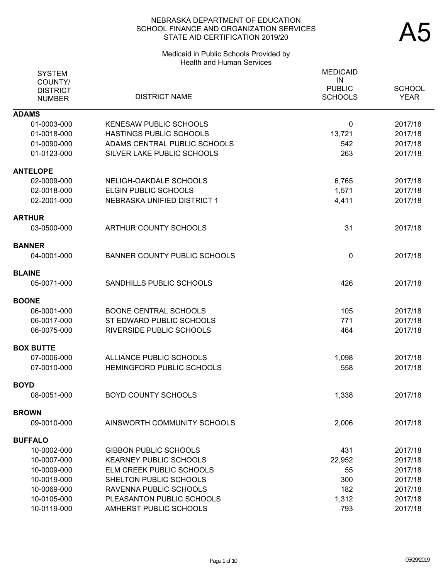### Medicaid in Public Schools Provided by Health and Human Services

| <b>SYSTEM</b><br>COUNTY/<br><b>DISTRICT</b><br><b>NUMBER</b> | <b>DISTRICT NAME</b>                | <b>MEDICAID</b><br>IN<br><b>PUBLIC</b><br><b>SCHOOLS</b> | <b>SCHOOL</b><br><b>YEAR</b> |
|--------------------------------------------------------------|-------------------------------------|----------------------------------------------------------|------------------------------|
| <b>ADAMS</b>                                                 |                                     |                                                          |                              |
| 01-0003-000                                                  | <b>KENESAW PUBLIC SCHOOLS</b>       | 0                                                        | 2017/18                      |
| 01-0018-000                                                  | HASTINGS PUBLIC SCHOOLS             | 13,721                                                   | 2017/18                      |
| 01-0090-000                                                  | ADAMS CENTRAL PUBLIC SCHOOLS        | 542                                                      | 2017/18                      |
| 01-0123-000                                                  | SILVER LAKE PUBLIC SCHOOLS          | 263                                                      | 2017/18                      |
| <b>ANTELOPE</b>                                              |                                     |                                                          |                              |
| 02-0009-000                                                  | NELIGH-OAKDALE SCHOOLS              | 6,765                                                    | 2017/18                      |
| 02-0018-000                                                  | ELGIN PUBLIC SCHOOLS                | 1,571                                                    | 2017/18                      |
| 02-2001-000                                                  | NEBRASKA UNIFIED DISTRICT 1         | 4,411                                                    | 2017/18                      |
| <b>ARTHUR</b>                                                |                                     |                                                          |                              |
| 03-0500-000                                                  | ARTHUR COUNTY SCHOOLS               | 31                                                       | 2017/18                      |
| <b>BANNER</b>                                                |                                     |                                                          |                              |
| 04-0001-000                                                  | <b>BANNER COUNTY PUBLIC SCHOOLS</b> | 0                                                        | 2017/18                      |
| <b>BLAINE</b>                                                |                                     |                                                          |                              |
| 05-0071-000                                                  | SANDHILLS PUBLIC SCHOOLS            | 426                                                      | 2017/18                      |
| <b>BOONE</b>                                                 |                                     |                                                          |                              |
| 06-0001-000                                                  | <b>BOONE CENTRAL SCHOOLS</b>        | 105                                                      | 2017/18                      |
| 06-0017-000                                                  | ST EDWARD PUBLIC SCHOOLS            | 771                                                      | 2017/18                      |
| 06-0075-000                                                  | <b>RIVERSIDE PUBLIC SCHOOLS</b>     | 464                                                      | 2017/18                      |
| <b>BOX BUTTE</b>                                             |                                     |                                                          |                              |
| 07-0006-000                                                  | ALLIANCE PUBLIC SCHOOLS             | 1,098                                                    | 2017/18                      |
| 07-0010-000                                                  | <b>HEMINGFORD PUBLIC SCHOOLS</b>    | 558                                                      | 2017/18                      |
| <b>BOYD</b>                                                  |                                     |                                                          |                              |
| 08-0051-000                                                  | <b>BOYD COUNTY SCHOOLS</b>          | 1,338                                                    | 2017/18                      |
| <b>BROWN</b>                                                 |                                     |                                                          |                              |
| 09-0010-000                                                  | AINSWORTH COMMUNITY SCHOOLS         | 2,006                                                    | 2017/18                      |
| <b>BUFFALO</b>                                               |                                     |                                                          |                              |
| 10-0002-000                                                  | <b>GIBBON PUBLIC SCHOOLS</b>        | 431                                                      | 2017/18                      |
| 10-0007-000                                                  | <b>KEARNEY PUBLIC SCHOOLS</b>       | 22,952                                                   | 2017/18                      |
| 10-0009-000                                                  | ELM CREEK PUBLIC SCHOOLS            | 55                                                       | 2017/18                      |
| 10-0019-000                                                  | SHELTON PUBLIC SCHOOLS              | 300                                                      | 2017/18                      |
| 10-0069-000                                                  | RAVENNA PUBLIC SCHOOLS              | 182                                                      | 2017/18                      |
| 10-0105-000                                                  | PLEASANTON PUBLIC SCHOOLS           | 1,312                                                    | 2017/18                      |
| 10-0119-000                                                  | AMHERST PUBLIC SCHOOLS              | 793                                                      | 2017/18                      |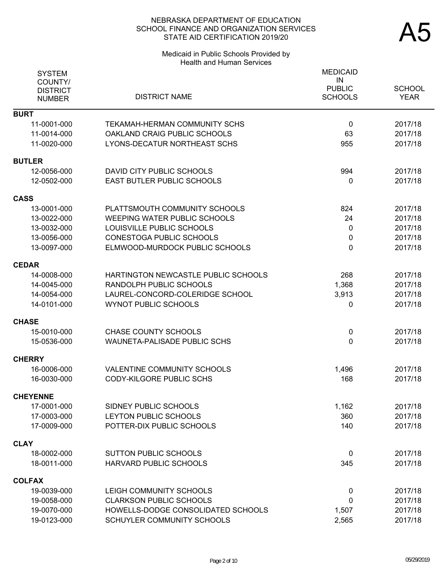# Medicaid in Public Schools Provided by Health and Human Services

| <b>SYSTEM</b><br>COUNTY/<br><b>DISTRICT</b><br><b>NUMBER</b> | <b>DISTRICT NAME</b>                | <b>MEDICAID</b><br>IN<br><b>PUBLIC</b><br><b>SCHOOLS</b> | <b>SCHOOL</b><br><b>YEAR</b> |
|--------------------------------------------------------------|-------------------------------------|----------------------------------------------------------|------------------------------|
| <b>BURT</b>                                                  |                                     |                                                          |                              |
| 11-0001-000                                                  | TEKAMAH-HERMAN COMMUNITY SCHS       | $\mathbf 0$                                              | 2017/18                      |
| 11-0014-000                                                  | OAKLAND CRAIG PUBLIC SCHOOLS        | 63                                                       | 2017/18                      |
| 11-0020-000                                                  | LYONS-DECATUR NORTHEAST SCHS        | 955                                                      | 2017/18                      |
| <b>BUTLER</b>                                                |                                     |                                                          |                              |
| 12-0056-000                                                  | DAVID CITY PUBLIC SCHOOLS           | 994                                                      | 2017/18                      |
| 12-0502-000                                                  | EAST BUTLER PUBLIC SCHOOLS          | 0                                                        | 2017/18                      |
| <b>CASS</b>                                                  |                                     |                                                          |                              |
| 13-0001-000                                                  | PLATTSMOUTH COMMUNITY SCHOOLS       | 824                                                      | 2017/18                      |
| 13-0022-000                                                  | <b>WEEPING WATER PUBLIC SCHOOLS</b> | 24                                                       | 2017/18                      |
| 13-0032-000                                                  | LOUISVILLE PUBLIC SCHOOLS           | $\mathbf{0}$                                             | 2017/18                      |
| 13-0056-000                                                  | <b>CONESTOGA PUBLIC SCHOOLS</b>     | 0                                                        | 2017/18                      |
| 13-0097-000                                                  | ELMWOOD-MURDOCK PUBLIC SCHOOLS      | 0                                                        | 2017/18                      |
| <b>CEDAR</b>                                                 |                                     |                                                          |                              |
| 14-0008-000                                                  | HARTINGTON NEWCASTLE PUBLIC SCHOOLS | 268                                                      | 2017/18                      |
| 14-0045-000                                                  | RANDOLPH PUBLIC SCHOOLS             | 1,368                                                    | 2017/18                      |
| 14-0054-000                                                  | LAUREL-CONCORD-COLERIDGE SCHOOL     | 3,913                                                    | 2017/18                      |
| 14-0101-000                                                  | <b>WYNOT PUBLIC SCHOOLS</b>         | 0                                                        | 2017/18                      |
| <b>CHASE</b>                                                 |                                     |                                                          |                              |
| 15-0010-000                                                  | <b>CHASE COUNTY SCHOOLS</b>         | 0                                                        | 2017/18                      |
| 15-0536-000                                                  | <b>WAUNETA-PALISADE PUBLIC SCHS</b> | 0                                                        | 2017/18                      |
| <b>CHERRY</b>                                                |                                     |                                                          |                              |
| 16-0006-000                                                  | <b>VALENTINE COMMUNITY SCHOOLS</b>  | 1,496                                                    | 2017/18                      |
| 16-0030-000                                                  | CODY-KILGORE PUBLIC SCHS            | 168                                                      | 2017/18                      |
| <b>CHEYENNE</b>                                              |                                     |                                                          |                              |
| 17-0001-000                                                  | SIDNEY PUBLIC SCHOOLS               | 1,162                                                    | 2017/18                      |
| 17-0003-000                                                  | LEYTON PUBLIC SCHOOLS               | 360                                                      | 2017/18                      |
| 17-0009-000                                                  | POTTER-DIX PUBLIC SCHOOLS           | 140                                                      | 2017/18                      |
| <b>CLAY</b>                                                  |                                     |                                                          |                              |
| 18-0002-000                                                  | <b>SUTTON PUBLIC SCHOOLS</b>        | $\mathbf 0$                                              | 2017/18                      |
| 18-0011-000                                                  | HARVARD PUBLIC SCHOOLS              | 345                                                      | 2017/18                      |
| <b>COLFAX</b>                                                |                                     |                                                          |                              |
| 19-0039-000                                                  | LEIGH COMMUNITY SCHOOLS             | $\mathbf 0$                                              | 2017/18                      |
| 19-0058-000                                                  | <b>CLARKSON PUBLIC SCHOOLS</b>      | 0                                                        | 2017/18                      |
| 19-0070-000                                                  | HOWELLS-DODGE CONSOLIDATED SCHOOLS  | 1,507                                                    | 2017/18                      |
| 19-0123-000                                                  | SCHUYLER COMMUNITY SCHOOLS          | 2,565                                                    | 2017/18                      |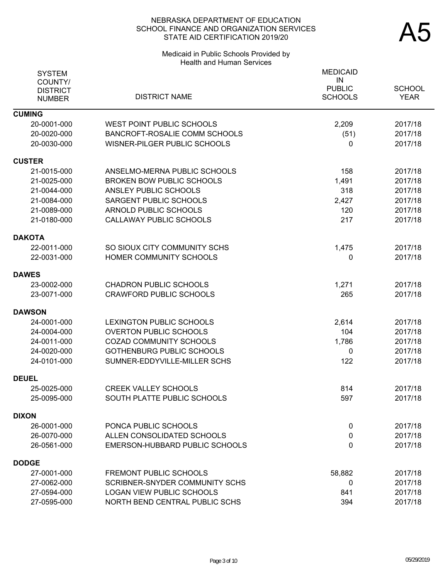# Medicaid in Public Schools Provided by Health and Human Services

| <b>SYSTEM</b><br>COUNTY/<br><b>DISTRICT</b><br><b>NUMBER</b> | <b>DISTRICT NAME</b>             | <b>MEDICAID</b><br>IN<br><b>PUBLIC</b><br><b>SCHOOLS</b> | <b>SCHOOL</b><br><b>YEAR</b> |
|--------------------------------------------------------------|----------------------------------|----------------------------------------------------------|------------------------------|
| <b>CUMING</b>                                                |                                  |                                                          |                              |
| 20-0001-000                                                  | <b>WEST POINT PUBLIC SCHOOLS</b> | 2,209                                                    | 2017/18                      |
| 20-0020-000                                                  | BANCROFT-ROSALIE COMM SCHOOLS    | (51)                                                     | 2017/18                      |
| 20-0030-000                                                  | WISNER-PILGER PUBLIC SCHOOLS     | 0                                                        | 2017/18                      |
| <b>CUSTER</b>                                                |                                  |                                                          |                              |
| 21-0015-000                                                  | ANSELMO-MERNA PUBLIC SCHOOLS     | 158                                                      | 2017/18                      |
| 21-0025-000                                                  | <b>BROKEN BOW PUBLIC SCHOOLS</b> | 1,491                                                    | 2017/18                      |
| 21-0044-000                                                  | ANSLEY PUBLIC SCHOOLS            | 318                                                      | 2017/18                      |
| 21-0084-000                                                  | SARGENT PUBLIC SCHOOLS           | 2,427                                                    | 2017/18                      |
| 21-0089-000                                                  | ARNOLD PUBLIC SCHOOLS            | 120                                                      | 2017/18                      |
| 21-0180-000                                                  | CALLAWAY PUBLIC SCHOOLS          | 217                                                      | 2017/18                      |
| <b>DAKOTA</b>                                                |                                  |                                                          |                              |
| 22-0011-000                                                  | SO SIOUX CITY COMMUNITY SCHS     | 1,475                                                    | 2017/18                      |
| 22-0031-000                                                  | HOMER COMMUNITY SCHOOLS          | 0                                                        | 2017/18                      |
| <b>DAWES</b>                                                 |                                  |                                                          |                              |
| 23-0002-000                                                  | <b>CHADRON PUBLIC SCHOOLS</b>    | 1,271                                                    | 2017/18                      |
| 23-0071-000                                                  | <b>CRAWFORD PUBLIC SCHOOLS</b>   | 265                                                      | 2017/18                      |
| <b>DAWSON</b>                                                |                                  |                                                          |                              |
| 24-0001-000                                                  | LEXINGTON PUBLIC SCHOOLS         | 2,614                                                    | 2017/18                      |
| 24-0004-000                                                  | <b>OVERTON PUBLIC SCHOOLS</b>    | 104                                                      | 2017/18                      |
| 24-0011-000                                                  | <b>COZAD COMMUNITY SCHOOLS</b>   | 1,786                                                    | 2017/18                      |
| 24-0020-000                                                  | <b>GOTHENBURG PUBLIC SCHOOLS</b> | 0                                                        | 2017/18                      |
| 24-0101-000                                                  | SUMNER-EDDYVILLE-MILLER SCHS     | 122                                                      | 2017/18                      |
| <b>DEUEL</b>                                                 |                                  |                                                          |                              |
| 25-0025-000                                                  | <b>CREEK VALLEY SCHOOLS</b>      | 814                                                      | 2017/18                      |
| 25-0095-000                                                  | SOUTH PLATTE PUBLIC SCHOOLS      | 597                                                      | 2017/18                      |
| <b>DIXON</b>                                                 |                                  |                                                          |                              |
| 26-0001-000                                                  | PONCA PUBLIC SCHOOLS             | 0                                                        | 2017/18                      |
| 26-0070-000                                                  | ALLEN CONSOLIDATED SCHOOLS       | 0                                                        | 2017/18                      |
| 26-0561-000                                                  | EMERSON-HUBBARD PUBLIC SCHOOLS   | 0                                                        | 2017/18                      |
| <b>DODGE</b>                                                 |                                  |                                                          |                              |
| 27-0001-000                                                  | <b>FREMONT PUBLIC SCHOOLS</b>    | 58,882                                                   | 2017/18                      |
| 27-0062-000                                                  | SCRIBNER-SNYDER COMMUNITY SCHS   | 0                                                        | 2017/18                      |
| 27-0594-000                                                  | <b>LOGAN VIEW PUBLIC SCHOOLS</b> | 841                                                      | 2017/18                      |
| 27-0595-000                                                  | NORTH BEND CENTRAL PUBLIC SCHS   | 394                                                      | 2017/18                      |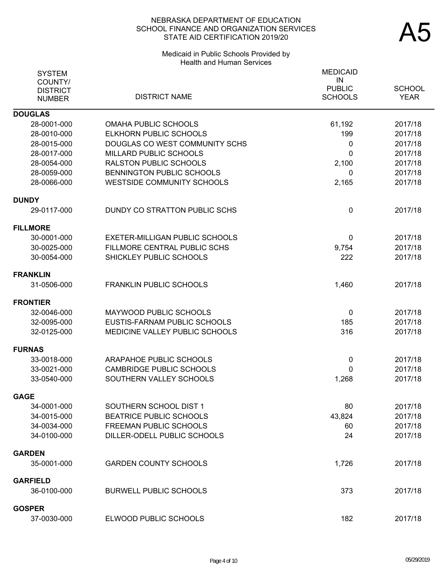# Medicaid in Public Schools Provided by Health and Human Services

| <b>SYSTEM</b><br>COUNTY/<br><b>DISTRICT</b><br><b>NUMBER</b> | <b>DISTRICT NAME</b>              | <b>MEDICAID</b><br>IN<br><b>PUBLIC</b><br><b>SCHOOLS</b> | <b>SCHOOL</b><br><b>YEAR</b> |
|--------------------------------------------------------------|-----------------------------------|----------------------------------------------------------|------------------------------|
| <b>DOUGLAS</b>                                               |                                   |                                                          |                              |
| 28-0001-000                                                  | <b>OMAHA PUBLIC SCHOOLS</b>       | 61,192                                                   | 2017/18                      |
| 28-0010-000                                                  | ELKHORN PUBLIC SCHOOLS            | 199                                                      | 2017/18                      |
| 28-0015-000                                                  | DOUGLAS CO WEST COMMUNITY SCHS    | 0                                                        | 2017/18                      |
| 28-0017-000                                                  | MILLARD PUBLIC SCHOOLS            | 0                                                        | 2017/18                      |
| 28-0054-000                                                  | <b>RALSTON PUBLIC SCHOOLS</b>     | 2,100                                                    | 2017/18                      |
| 28-0059-000                                                  | BENNINGTON PUBLIC SCHOOLS         | 0                                                        | 2017/18                      |
| 28-0066-000                                                  | <b>WESTSIDE COMMUNITY SCHOOLS</b> | 2,165                                                    | 2017/18                      |
| <b>DUNDY</b>                                                 |                                   |                                                          |                              |
| 29-0117-000                                                  | DUNDY CO STRATTON PUBLIC SCHS     | 0                                                        | 2017/18                      |
| <b>FILLMORE</b>                                              |                                   |                                                          |                              |
| 30-0001-000                                                  | EXETER-MILLIGAN PUBLIC SCHOOLS    | 0                                                        | 2017/18                      |
| 30-0025-000                                                  | FILLMORE CENTRAL PUBLIC SCHS      | 9,754                                                    | 2017/18                      |
| 30-0054-000                                                  | SHICKLEY PUBLIC SCHOOLS           | 222                                                      | 2017/18                      |
| FRANKLIN                                                     |                                   |                                                          |                              |
| 31-0506-000                                                  | <b>FRANKLIN PUBLIC SCHOOLS</b>    | 1,460                                                    | 2017/18                      |
| <b>FRONTIER</b>                                              |                                   |                                                          |                              |
| 32-0046-000                                                  | MAYWOOD PUBLIC SCHOOLS            | 0                                                        | 2017/18                      |
| 32-0095-000                                                  | EUSTIS-FARNAM PUBLIC SCHOOLS      | 185                                                      | 2017/18                      |
| 32-0125-000                                                  | MEDICINE VALLEY PUBLIC SCHOOLS    | 316                                                      | 2017/18                      |
| <b>FURNAS</b>                                                |                                   |                                                          |                              |
| 33-0018-000                                                  | ARAPAHOE PUBLIC SCHOOLS           | 0                                                        | 2017/18                      |
| 33-0021-000                                                  | <b>CAMBRIDGE PUBLIC SCHOOLS</b>   | 0                                                        | 2017/18                      |
| 33-0540-000                                                  | SOUTHERN VALLEY SCHOOLS           | 1,268                                                    | 2017/18                      |
| <b>GAGE</b>                                                  |                                   |                                                          |                              |
| 34-0001-000                                                  | SOUTHERN SCHOOL DIST 1            | 80                                                       | 2017/18                      |
| 34-0015-000                                                  | <b>BEATRICE PUBLIC SCHOOLS</b>    | 43,824                                                   | 2017/18                      |
| 34-0034-000                                                  | <b>FREEMAN PUBLIC SCHOOLS</b>     | 60                                                       | 2017/18                      |
| 34-0100-000                                                  | DILLER-ODELL PUBLIC SCHOOLS       | 24                                                       | 2017/18                      |
| <b>GARDEN</b>                                                |                                   |                                                          |                              |
| 35-0001-000                                                  | <b>GARDEN COUNTY SCHOOLS</b>      | 1,726                                                    | 2017/18                      |
| <b>GARFIELD</b>                                              |                                   |                                                          |                              |
| 36-0100-000                                                  | <b>BURWELL PUBLIC SCHOOLS</b>     | 373                                                      | 2017/18                      |
| GOSPER                                                       |                                   |                                                          |                              |
| 37-0030-000                                                  | ELWOOD PUBLIC SCHOOLS             | 182                                                      | 2017/18                      |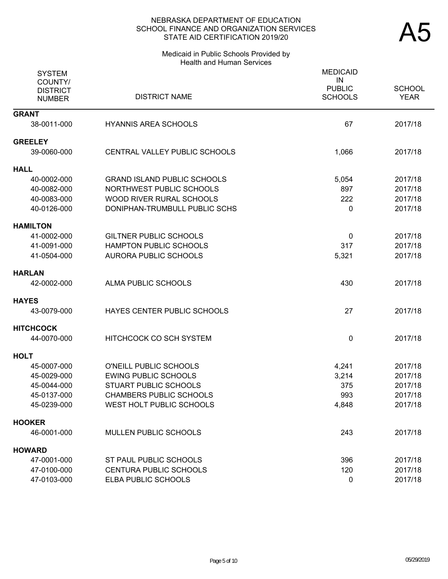#### Medicaid in Public Schools Provided by Health and Human Services

| <b>SYSTEM</b><br>COUNTY/<br><b>DISTRICT</b><br><b>NUMBER</b> | <b>DISTRICT NAME</b>               | <b>MEDICAID</b><br>IN<br><b>PUBLIC</b><br><b>SCHOOLS</b> | <b>SCHOOL</b><br><b>YEAR</b> |
|--------------------------------------------------------------|------------------------------------|----------------------------------------------------------|------------------------------|
| <b>GRANT</b>                                                 |                                    |                                                          |                              |
| 38-0011-000                                                  | <b>HYANNIS AREA SCHOOLS</b>        | 67                                                       | 2017/18                      |
| <b>GREELEY</b>                                               |                                    |                                                          |                              |
| 39-0060-000                                                  | CENTRAL VALLEY PUBLIC SCHOOLS      | 1,066                                                    | 2017/18                      |
| <b>HALL</b>                                                  |                                    |                                                          |                              |
| 40-0002-000                                                  | <b>GRAND ISLAND PUBLIC SCHOOLS</b> | 5,054                                                    | 2017/18                      |
| 40-0082-000                                                  | <b>NORTHWEST PUBLIC SCHOOLS</b>    | 897                                                      | 2017/18                      |
| 40-0083-000                                                  | WOOD RIVER RURAL SCHOOLS           | 222                                                      | 2017/18                      |
| 40-0126-000                                                  | DONIPHAN-TRUMBULL PUBLIC SCHS      | 0                                                        | 2017/18                      |
| <b>HAMILTON</b>                                              |                                    |                                                          |                              |
| 41-0002-000                                                  | <b>GILTNER PUBLIC SCHOOLS</b>      | 0                                                        | 2017/18                      |
| 41-0091-000                                                  | HAMPTON PUBLIC SCHOOLS             | 317                                                      | 2017/18                      |
| 41-0504-000                                                  | <b>AURORA PUBLIC SCHOOLS</b>       | 5,321                                                    | 2017/18                      |
| <b>HARLAN</b>                                                |                                    |                                                          |                              |
| 42-0002-000                                                  | ALMA PUBLIC SCHOOLS                | 430                                                      | 2017/18                      |
| <b>HAYES</b>                                                 |                                    |                                                          |                              |
| 43-0079-000                                                  | HAYES CENTER PUBLIC SCHOOLS        | 27                                                       | 2017/18                      |
| <b>HITCHCOCK</b>                                             |                                    |                                                          |                              |
| 44-0070-000                                                  | HITCHCOCK CO SCH SYSTEM            | 0                                                        | 2017/18                      |
| <b>HOLT</b>                                                  |                                    |                                                          |                              |
| 45-0007-000                                                  | O'NEILL PUBLIC SCHOOLS             | 4,241                                                    | 2017/18                      |
| 45-0029-000                                                  | <b>EWING PUBLIC SCHOOLS</b>        | 3,214                                                    | 2017/18                      |
| 45-0044-000                                                  | <b>STUART PUBLIC SCHOOLS</b>       | 375                                                      | 2017/18                      |
| 45-0137-000                                                  | <b>CHAMBERS PUBLIC SCHOOLS</b>     | 993                                                      | 2017/18                      |
| 45-0239-000                                                  | WEST HOLT PUBLIC SCHOOLS           | 4,848                                                    | 2017/18                      |
| <b>HOOKER</b>                                                |                                    |                                                          |                              |
| 46-0001-000                                                  | MULLEN PUBLIC SCHOOLS              | 243                                                      | 2017/18                      |
| <b>HOWARD</b>                                                |                                    |                                                          |                              |
| 47-0001-000                                                  | ST PAUL PUBLIC SCHOOLS             | 396                                                      | 2017/18                      |
| 47-0100-000                                                  | <b>CENTURA PUBLIC SCHOOLS</b>      | 120                                                      | 2017/18                      |
| 47-0103-000                                                  | ELBA PUBLIC SCHOOLS                | 0                                                        | 2017/18                      |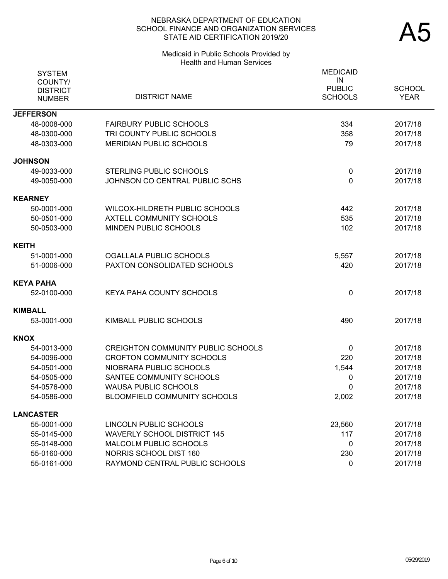# Medicaid in Public Schools Provided by Health and Human Services

| <b>SYSTEM</b><br>COUNTY/<br><b>DISTRICT</b><br><b>NUMBER</b> | <b>DISTRICT NAME</b>                      | <b>MEDICAID</b><br>IN<br><b>PUBLIC</b><br><b>SCHOOLS</b> | <b>SCHOOL</b><br><b>YEAR</b> |
|--------------------------------------------------------------|-------------------------------------------|----------------------------------------------------------|------------------------------|
| <b>JEFFERSON</b>                                             |                                           |                                                          |                              |
| 48-0008-000                                                  | <b>FAIRBURY PUBLIC SCHOOLS</b>            | 334                                                      | 2017/18                      |
| 48-0300-000                                                  | TRI COUNTY PUBLIC SCHOOLS                 | 358                                                      | 2017/18                      |
| 48-0303-000                                                  | <b>MERIDIAN PUBLIC SCHOOLS</b>            | 79                                                       | 2017/18                      |
| <b>JOHNSON</b>                                               |                                           |                                                          |                              |
| 49-0033-000                                                  | <b>STERLING PUBLIC SCHOOLS</b>            | 0                                                        | 2017/18                      |
| 49-0050-000                                                  | JOHNSON CO CENTRAL PUBLIC SCHS            | 0                                                        | 2017/18                      |
| <b>KEARNEY</b>                                               |                                           |                                                          |                              |
| 50-0001-000                                                  | WILCOX-HILDRETH PUBLIC SCHOOLS            | 442                                                      | 2017/18                      |
| 50-0501-000                                                  | <b>AXTELL COMMUNITY SCHOOLS</b>           | 535                                                      | 2017/18                      |
| 50-0503-000                                                  | MINDEN PUBLIC SCHOOLS                     | 102                                                      | 2017/18                      |
| <b>KEITH</b>                                                 |                                           |                                                          |                              |
| 51-0001-000                                                  | OGALLALA PUBLIC SCHOOLS                   | 5,557                                                    | 2017/18                      |
| 51-0006-000                                                  | PAXTON CONSOLIDATED SCHOOLS               | 420                                                      | 2017/18                      |
| KEYA PAHA                                                    |                                           |                                                          |                              |
| 52-0100-000                                                  | <b>KEYA PAHA COUNTY SCHOOLS</b>           | 0                                                        | 2017/18                      |
| KIMBALL                                                      |                                           |                                                          |                              |
| 53-0001-000                                                  | KIMBALL PUBLIC SCHOOLS                    | 490                                                      | 2017/18                      |
| <b>KNOX</b>                                                  |                                           |                                                          |                              |
| 54-0013-000                                                  | <b>CREIGHTON COMMUNITY PUBLIC SCHOOLS</b> | 0                                                        | 2017/18                      |
| 54-0096-000                                                  | <b>CROFTON COMMUNITY SCHOOLS</b>          | 220                                                      | 2017/18                      |
| 54-0501-000                                                  | NIOBRARA PUBLIC SCHOOLS                   | 1,544                                                    | 2017/18                      |
| 54-0505-000                                                  | SANTEE COMMUNITY SCHOOLS                  | 0                                                        | 2017/18                      |
| 54-0576-000                                                  | <b>WAUSA PUBLIC SCHOOLS</b>               | 0                                                        | 2017/18                      |
| 54-0586-000                                                  | <b>BLOOMFIELD COMMUNITY SCHOOLS</b>       | 2,002                                                    | 2017/18                      |
| <b>LANCASTER</b>                                             |                                           |                                                          |                              |
| 55-0001-000                                                  | LINCOLN PUBLIC SCHOOLS                    | 23,560                                                   | 2017/18                      |
| 55-0145-000                                                  | <b>WAVERLY SCHOOL DISTRICT 145</b>        | 117                                                      | 2017/18                      |
| 55-0148-000                                                  | MALCOLM PUBLIC SCHOOLS                    | 0                                                        | 2017/18                      |
| 55-0160-000                                                  | NORRIS SCHOOL DIST 160                    | 230                                                      | 2017/18                      |
| 55-0161-000                                                  | RAYMOND CENTRAL PUBLIC SCHOOLS            | 0                                                        | 2017/18                      |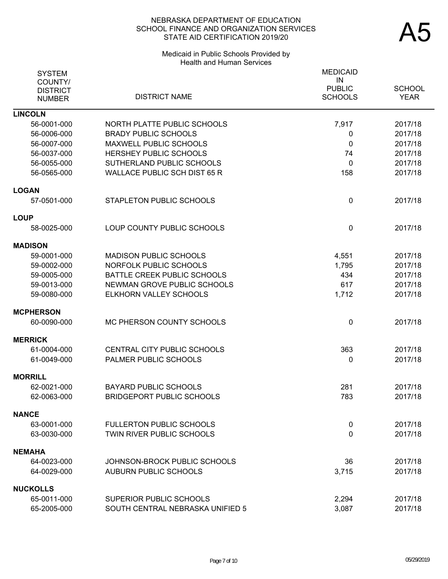## Medicaid in Public Schools Provided by Health and Human Services

| <b>SYSTEM</b><br>COUNTY/         |                                     | <b>MEDICAID</b><br>IN           |                              |
|----------------------------------|-------------------------------------|---------------------------------|------------------------------|
| <b>DISTRICT</b><br><b>NUMBER</b> | <b>DISTRICT NAME</b>                | <b>PUBLIC</b><br><b>SCHOOLS</b> | <b>SCHOOL</b><br><b>YEAR</b> |
| <b>LINCOLN</b>                   |                                     |                                 |                              |
| 56-0001-000                      | NORTH PLATTE PUBLIC SCHOOLS         | 7,917                           | 2017/18                      |
| 56-0006-000                      | <b>BRADY PUBLIC SCHOOLS</b>         | 0                               | 2017/18                      |
| 56-0007-000                      | <b>MAXWELL PUBLIC SCHOOLS</b>       | 0                               | 2017/18                      |
| 56-0037-000                      | HERSHEY PUBLIC SCHOOLS              | 74                              | 2017/18                      |
| 56-0055-000                      | SUTHERLAND PUBLIC SCHOOLS           | $\mathbf{0}$                    | 2017/18                      |
| 56-0565-000                      | <b>WALLACE PUBLIC SCH DIST 65 R</b> | 158                             | 2017/18                      |
| <b>LOGAN</b>                     |                                     |                                 |                              |
| 57-0501-000                      | STAPLETON PUBLIC SCHOOLS            | $\mathbf 0$                     | 2017/18                      |
| <b>LOUP</b>                      |                                     |                                 |                              |
| 58-0025-000                      | LOUP COUNTY PUBLIC SCHOOLS          | $\mathbf{0}$                    | 2017/18                      |
| <b>MADISON</b>                   |                                     |                                 |                              |
| 59-0001-000                      | <b>MADISON PUBLIC SCHOOLS</b>       | 4,551                           | 2017/18                      |
| 59-0002-000                      | NORFOLK PUBLIC SCHOOLS              | 1,795                           | 2017/18                      |
| 59-0005-000                      | BATTLE CREEK PUBLIC SCHOOLS         | 434                             | 2017/18                      |
| 59-0013-000                      | NEWMAN GROVE PUBLIC SCHOOLS         | 617                             | 2017/18                      |
| 59-0080-000                      | ELKHORN VALLEY SCHOOLS              | 1,712                           | 2017/18                      |
| <b>MCPHERSON</b>                 |                                     |                                 |                              |
| 60-0090-000                      | MC PHERSON COUNTY SCHOOLS           | $\mathbf 0$                     | 2017/18                      |
| <b>MERRICK</b>                   |                                     |                                 |                              |
| 61-0004-000                      | CENTRAL CITY PUBLIC SCHOOLS         | 363                             | 2017/18                      |
| 61-0049-000                      | <b>PALMER PUBLIC SCHOOLS</b>        | 0                               | 2017/18                      |
| <b>MORRILL</b>                   |                                     |                                 |                              |
| 62-0021-000                      | <b>BAYARD PUBLIC SCHOOLS</b>        | 281                             | 2017/18                      |
| 62-0063-000                      | <b>BRIDGEPORT PUBLIC SCHOOLS</b>    | 783                             | 2017/18                      |
| <b>NANCE</b>                     |                                     |                                 |                              |
| 63-0001-000                      | <b>FULLERTON PUBLIC SCHOOLS</b>     | $\mathbf 0$                     | 2017/18                      |
| 63-0030-000                      | TWIN RIVER PUBLIC SCHOOLS           | 0                               | 2017/18                      |
| NEMAHA                           |                                     |                                 |                              |
| 64-0023-000                      | JOHNSON-BROCK PUBLIC SCHOOLS        | 36                              | 2017/18                      |
| 64-0029-000                      | <b>AUBURN PUBLIC SCHOOLS</b>        | 3,715                           | 2017/18                      |
| <b>NUCKOLLS</b>                  |                                     |                                 |                              |
| 65-0011-000                      | SUPERIOR PUBLIC SCHOOLS             | 2,294                           | 2017/18                      |
| 65-2005-000                      | SOUTH CENTRAL NEBRASKA UNIFIED 5    | 3,087                           | 2017/18                      |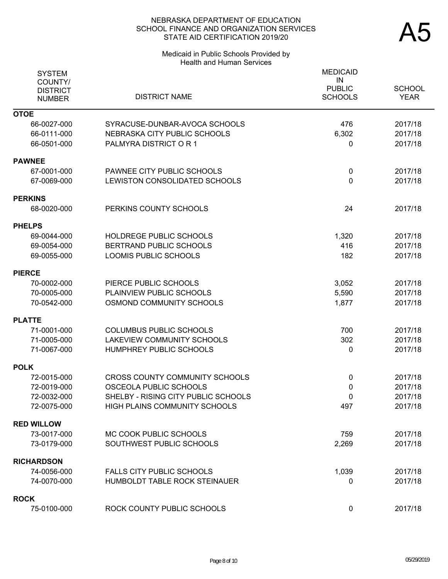# Medicaid in Public Schools Provided by Health and Human Services

| <b>SYSTEM</b><br>COUNTY/<br><b>DISTRICT</b><br><b>NUMBER</b> | <b>DISTRICT NAME</b>                  | <b>MEDICAID</b><br>IN<br><b>PUBLIC</b><br><b>SCHOOLS</b> | <b>SCHOOL</b><br><b>YEAR</b> |
|--------------------------------------------------------------|---------------------------------------|----------------------------------------------------------|------------------------------|
| <b>OTOE</b>                                                  |                                       |                                                          |                              |
| 66-0027-000                                                  | SYRACUSE-DUNBAR-AVOCA SCHOOLS         | 476                                                      | 2017/18                      |
| 66-0111-000                                                  | NEBRASKA CITY PUBLIC SCHOOLS          | 6,302                                                    | 2017/18                      |
| 66-0501-000                                                  | PALMYRA DISTRICT OR 1                 | $\mathbf{0}$                                             | 2017/18                      |
| <b>PAWNEE</b>                                                |                                       |                                                          |                              |
| 67-0001-000                                                  | PAWNEE CITY PUBLIC SCHOOLS            | $\mathbf 0$                                              | 2017/18                      |
| 67-0069-000                                                  | LEWISTON CONSOLIDATED SCHOOLS         | $\mathbf 0$                                              | 2017/18                      |
| <b>PERKINS</b>                                               |                                       |                                                          |                              |
| 68-0020-000                                                  | PERKINS COUNTY SCHOOLS                | 24                                                       | 2017/18                      |
| <b>PHELPS</b>                                                |                                       |                                                          |                              |
| 69-0044-000                                                  | HOLDREGE PUBLIC SCHOOLS               | 1,320                                                    | 2017/18                      |
| 69-0054-000                                                  | BERTRAND PUBLIC SCHOOLS               | 416                                                      | 2017/18                      |
| 69-0055-000                                                  | <b>LOOMIS PUBLIC SCHOOLS</b>          | 182                                                      | 2017/18                      |
| <b>PIERCE</b>                                                |                                       |                                                          |                              |
| 70-0002-000                                                  | PIERCE PUBLIC SCHOOLS                 | 3,052                                                    | 2017/18                      |
| 70-0005-000                                                  | PLAINVIEW PUBLIC SCHOOLS              | 5,590                                                    | 2017/18                      |
| 70-0542-000                                                  | OSMOND COMMUNITY SCHOOLS              | 1,877                                                    | 2017/18                      |
| <b>PLATTE</b>                                                |                                       |                                                          |                              |
| 71-0001-000                                                  | <b>COLUMBUS PUBLIC SCHOOLS</b>        | 700                                                      | 2017/18                      |
| 71-0005-000                                                  | LAKEVIEW COMMUNITY SCHOOLS            | 302                                                      | 2017/18                      |
| 71-0067-000                                                  | HUMPHREY PUBLIC SCHOOLS               | 0                                                        | 2017/18                      |
| <b>POLK</b>                                                  |                                       |                                                          |                              |
| 72-0015-000                                                  | <b>CROSS COUNTY COMMUNITY SCHOOLS</b> | 0                                                        | 2017/18                      |
| 72-0019-000                                                  | OSCEOLA PUBLIC SCHOOLS                | 0                                                        | 2017/18                      |
| 72-0032-000                                                  | SHELBY - RISING CITY PUBLIC SCHOOLS   | $\mathbf 0$                                              | 2017/18                      |
| 72-0075-000                                                  | HIGH PLAINS COMMUNITY SCHOOLS         | 497                                                      | 2017/18                      |
| <b>RED WILLOW</b>                                            |                                       |                                                          |                              |
| 73-0017-000                                                  | MC COOK PUBLIC SCHOOLS                | 759                                                      | 2017/18                      |
| 73-0179-000                                                  | SOUTHWEST PUBLIC SCHOOLS              | 2,269                                                    | 2017/18                      |
| <b>RICHARDSON</b>                                            |                                       |                                                          |                              |
| 74-0056-000                                                  | <b>FALLS CITY PUBLIC SCHOOLS</b>      | 1,039                                                    | 2017/18                      |
| 74-0070-000                                                  | HUMBOLDT TABLE ROCK STEINAUER         | 0                                                        | 2017/18                      |
| <b>ROCK</b>                                                  |                                       |                                                          |                              |
| 75-0100-000                                                  | ROCK COUNTY PUBLIC SCHOOLS            | $\mathbf 0$                                              | 2017/18                      |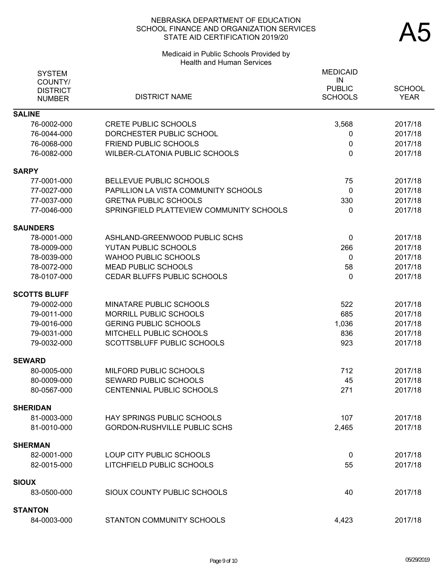#### Medicaid in Public Schools Provided by Health and Human Services

| <b>SYSTEM</b><br>COUNTY/<br><b>DISTRICT</b><br><b>NUMBER</b> | <b>DISTRICT NAME</b>                     | <b>MEDICAID</b><br>IN<br><b>PUBLIC</b><br><b>SCHOOLS</b> | <b>SCHOOL</b><br><b>YEAR</b> |
|--------------------------------------------------------------|------------------------------------------|----------------------------------------------------------|------------------------------|
| <b>SALINE</b>                                                |                                          |                                                          |                              |
| 76-0002-000                                                  | <b>CRETE PUBLIC SCHOOLS</b>              | 3,568                                                    | 2017/18                      |
| 76-0044-000                                                  | DORCHESTER PUBLIC SCHOOL                 | 0                                                        | 2017/18                      |
| 76-0068-000                                                  | <b>FRIEND PUBLIC SCHOOLS</b>             | 0                                                        | 2017/18                      |
| 76-0082-000                                                  | <b>WILBER-CLATONIA PUBLIC SCHOOLS</b>    | $\mathbf{0}$                                             | 2017/18                      |
| <b>SARPY</b>                                                 |                                          |                                                          |                              |
| 77-0001-000                                                  | BELLEVUE PUBLIC SCHOOLS                  | 75                                                       | 2017/18                      |
| 77-0027-000                                                  | PAPILLION LA VISTA COMMUNITY SCHOOLS     | $\mathbf 0$                                              | 2017/18                      |
| 77-0037-000                                                  | <b>GRETNA PUBLIC SCHOOLS</b>             | 330                                                      | 2017/18                      |
| 77-0046-000                                                  | SPRINGFIELD PLATTEVIEW COMMUNITY SCHOOLS | 0                                                        | 2017/18                      |
| <b>SAUNDERS</b>                                              |                                          |                                                          |                              |
| 78-0001-000                                                  | ASHLAND-GREENWOOD PUBLIC SCHS            | $\mathbf 0$                                              | 2017/18                      |
| 78-0009-000                                                  | YUTAN PUBLIC SCHOOLS                     | 266                                                      | 2017/18                      |
| 78-0039-000                                                  | <b>WAHOO PUBLIC SCHOOLS</b>              | $\mathbf{0}$                                             | 2017/18                      |
| 78-0072-000                                                  | <b>MEAD PUBLIC SCHOOLS</b>               | 58                                                       | 2017/18                      |
| 78-0107-000                                                  | CEDAR BLUFFS PUBLIC SCHOOLS              | 0                                                        | 2017/18                      |
| <b>SCOTTS BLUFF</b>                                          |                                          |                                                          |                              |
| 79-0002-000                                                  | MINATARE PUBLIC SCHOOLS                  | 522                                                      | 2017/18                      |
| 79-0011-000                                                  | MORRILL PUBLIC SCHOOLS                   | 685                                                      | 2017/18                      |
| 79-0016-000                                                  | <b>GERING PUBLIC SCHOOLS</b>             | 1,036                                                    | 2017/18                      |
| 79-0031-000                                                  | MITCHELL PUBLIC SCHOOLS                  | 836                                                      | 2017/18                      |
| 79-0032-000                                                  | SCOTTSBLUFF PUBLIC SCHOOLS               | 923                                                      | 2017/18                      |
| <b>SEWARD</b>                                                |                                          |                                                          |                              |
| 80-0005-000                                                  | MILFORD PUBLIC SCHOOLS                   | 712                                                      | 2017/18                      |
| 80-0009-000                                                  | SEWARD PUBLIC SCHOOLS                    | 45                                                       | 2017/18                      |
| 80-0567-000                                                  | CENTENNIAL PUBLIC SCHOOLS                | 271                                                      | 2017/18                      |
| <b>SHERIDAN</b>                                              |                                          |                                                          |                              |
| 81-0003-000                                                  | <b>HAY SPRINGS PUBLIC SCHOOLS</b>        | 107                                                      | 2017/18                      |
| 81-0010-000                                                  | <b>GORDON-RUSHVILLE PUBLIC SCHS</b>      | 2,465                                                    | 2017/18                      |
| SHERMAN                                                      |                                          |                                                          |                              |
| 82-0001-000                                                  | LOUP CITY PUBLIC SCHOOLS                 | $\mathbf 0$                                              | 2017/18                      |
| 82-0015-000                                                  | LITCHFIELD PUBLIC SCHOOLS                | 55                                                       | 2017/18                      |
|                                                              |                                          |                                                          |                              |
| SIOUX                                                        |                                          |                                                          |                              |
| 83-0500-000                                                  | SIOUX COUNTY PUBLIC SCHOOLS              | 40                                                       | 2017/18                      |
| <b>STANTON</b>                                               |                                          |                                                          |                              |
| 84-0003-000                                                  | STANTON COMMUNITY SCHOOLS                | 4,423                                                    | 2017/18                      |